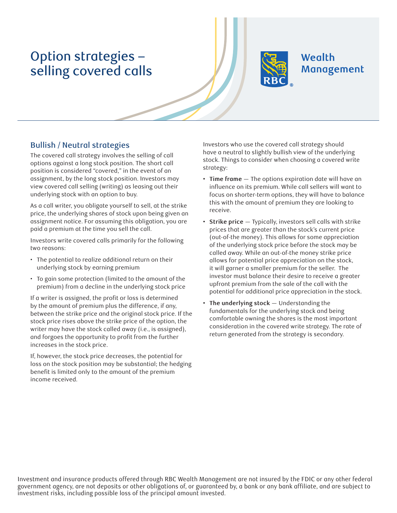## Option strategies – selling covered calls



## Wealth Management

## Bullish / Neutral strategies

The covered call strategy involves the selling of call options against a long stock position. The short call position is considered "covered," in the event of an assignment, by the long stock position. Investors may view covered call selling (writing) as leasing out their underlying stock with an option to buy.

As a call writer, you obligate yourself to sell, at the strike price, the underlying shares of stock upon being given an assignment notice. For assuming this obligation, you are paid a premium at the time you sell the call.

Investors write covered calls primarily for the following two reasons:

- The potential to realize additional return on their underlying stock by earning premium
- To gain some protection (limited to the amount of the premium) from a decline in the underlying stock price

If a writer is assigned, the profit or loss is determined by the amount of premium plus the difference, if any, between the strike price and the original stock price. If the stock price rises above the strike price of the option, the writer may have the stock called away (i.e., is assigned), and forgoes the opportunity to profit from the further increases in the stock price.

If, however, the stock price decreases, the potential for loss on the stock position may be substantial; the hedging benefit is limited only to the amount of the premium income received.

Investors who use the covered call strategy should have a neutral to slightly bullish view of the underlying stock. Things to consider when choosing a covered write strategy:

- **• Time frame** The options expiration date will have an influence on its premium. While call sellers will want to focus on shorter-term options, they will have to balance this with the amount of premium they are looking to receive.
- **• Strike price** Typically, investors sell calls with strike prices that are greater than the stock's current price (out-of-the money). This allows for some appreciation of the underlying stock price before the stock may be called away. While an out-of-the money strike price allows for potential price appreciation on the stock, it will garner a smaller premium for the seller. The investor must balance their desire to receive a greater upfront premium from the sale of the call with the potential for additional price appreciation in the stock.
- **• The underlying stock** Understanding the fundamentals for the underlying stock and being comfortable owning the shares is the most important consideration in the covered write strategy. The rate of return generated from the strategy is secondary.

Investment and insurance products offered through RBC Wealth Management are not insured by the FDIC or any other federal government agency, are not deposits or other obligations of, or guaranteed by, a bank or any bank affiliate, and are subject to investment risks, including possible loss of the principal amount invested.